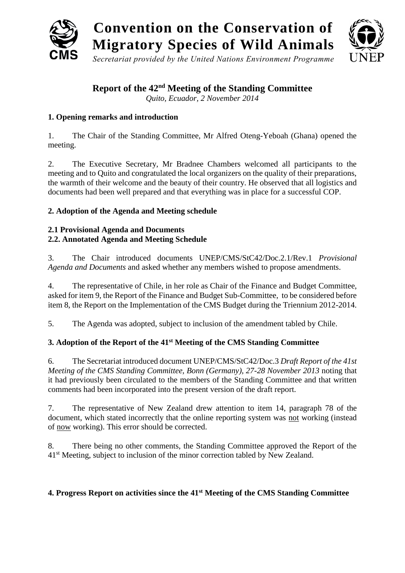

**Report of the 42nd Meeting of the Standing Committee**

*Quito, Ecuador, 2 November 2014*

# **1. Opening remarks and introduction**

1. The Chair of the Standing Committee, Mr Alfred Oteng-Yeboah (Ghana) opened the meeting.

2. The Executive Secretary, Mr Bradnee Chambers welcomed all participants to the meeting and to Quito and congratulated the local organizers on the quality of their preparations, the warmth of their welcome and the beauty of their country. He observed that all logistics and documents had been well prepared and that everything was in place for a successful COP.

# **2. Adoption of the Agenda and Meeting schedule**

# **2.1 Provisional Agenda and Documents 2.2. Annotated Agenda and Meeting Schedule**

3. The Chair introduced documents UNEP/CMS/StC42/Doc.2.1/Rev.1 *Provisional Agenda and Documents* and asked whether any members wished to propose amendments.

4. The representative of Chile, in her role as Chair of the Finance and Budget Committee, asked for item 9, the Report of the Finance and Budget Sub-Committee, to be considered before item 8, the Report on the Implementation of the CMS Budget during the Triennium 2012-2014.

5. The Agenda was adopted, subject to inclusion of the amendment tabled by Chile.

# **3. Adoption of the Report of the 41st Meeting of the CMS Standing Committee**

6. The Secretariat introduced document UNEP/CMS/StC42/Doc.3 *Draft Report of the 41st Meeting of the CMS Standing Committee, Bonn (Germany), 27-28 November 2013* noting that it had previously been circulated to the members of the Standing Committee and that written comments had been incorporated into the present version of the draft report.

7. The representative of New Zealand drew attention to item 14, paragraph 78 of the document, which stated incorrectly that the online reporting system was not working (instead of now working). This error should be corrected.

8. There being no other comments, the Standing Committee approved the Report of the 41<sup>st</sup> Meeting, subject to inclusion of the minor correction tabled by New Zealand.

# **4. Progress Report on activities since the 41st Meeting of the CMS Standing Committee**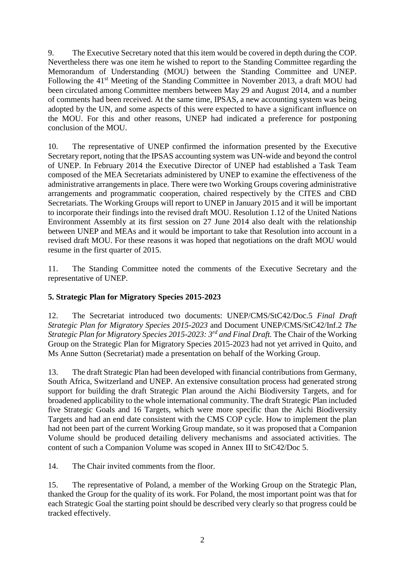9. The Executive Secretary noted that this item would be covered in depth during the COP. Nevertheless there was one item he wished to report to the Standing Committee regarding the Memorandum of Understanding (MOU) between the Standing Committee and UNEP. Following the 41<sup>st</sup> Meeting of the Standing Committee in November 2013, a draft MOU had been circulated among Committee members between May 29 and August 2014, and a number of comments had been received. At the same time, IPSAS, a new accounting system was being adopted by the UN, and some aspects of this were expected to have a significant influence on the MOU. For this and other reasons, UNEP had indicated a preference for postponing conclusion of the MOU.

10. The representative of UNEP confirmed the information presented by the Executive Secretary report, noting that the IPSAS accounting system was UN-wide and beyond the control of UNEP. In February 2014 the Executive Director of UNEP had established a Task Team composed of the MEA Secretariats administered by UNEP to examine the effectiveness of the administrative arrangements in place. There were two Working Groups covering administrative arrangements and programmatic cooperation, chaired respectively by the CITES and CBD Secretariats. The Working Groups will report to UNEP in January 2015 and it will be important to incorporate their findings into the revised draft MOU. Resolution 1.12 of the United Nations Environment Assembly at its first session on 27 June 2014 also dealt with the relationship between UNEP and MEAs and it would be important to take that Resolution into account in a revised draft MOU. For these reasons it was hoped that negotiations on the draft MOU would resume in the first quarter of 2015.

11. The Standing Committee noted the comments of the Executive Secretary and the representative of UNEP.

# **5. Strategic Plan for Migratory Species 2015-2023**

12. The Secretariat introduced two documents: UNEP/CMS/StC42/Doc.5 *Final Draft Strategic Plan for Migratory Species 2015-2023* and Document UNEP/CMS/StC42/Inf.2 *The Strategic Plan for Migratory Species 2015-2023: 3rd and Final Draft.* The Chair of the Working Group on the Strategic Plan for Migratory Species 2015-2023 had not yet arrived in Quito, and Ms Anne Sutton (Secretariat) made a presentation on behalf of the Working Group.

13. The draft Strategic Plan had been developed with financial contributions from Germany, South Africa, Switzerland and UNEP. An extensive consultation process had generated strong support for building the draft Strategic Plan around the Aichi Biodiversity Targets, and for broadened applicability to the whole international community. The draft Strategic Plan included five Strategic Goals and 16 Targets, which were more specific than the Aichi Biodiversity Targets and had an end date consistent with the CMS COP cycle. How to implement the plan had not been part of the current Working Group mandate, so it was proposed that a Companion Volume should be produced detailing delivery mechanisms and associated activities. The content of such a Companion Volume was scoped in Annex III to StC42/Doc 5.

14. The Chair invited comments from the floor.

15. The representative of Poland, a member of the Working Group on the Strategic Plan, thanked the Group for the quality of its work. For Poland, the most important point was that for each Strategic Goal the starting point should be described very clearly so that progress could be tracked effectively.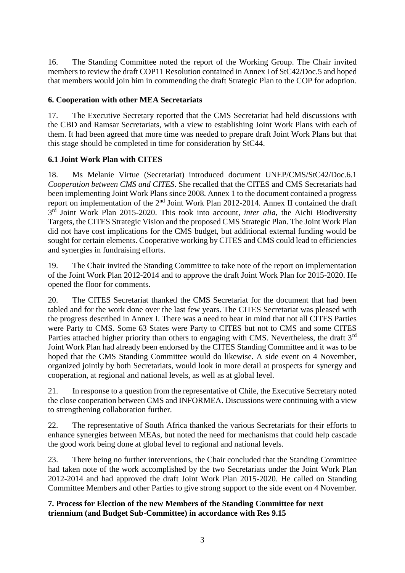16. The Standing Committee noted the report of the Working Group. The Chair invited members to review the draft COP11 Resolution contained in Annex I of StC42/Doc.5 and hoped that members would join him in commending the draft Strategic Plan to the COP for adoption.

# **6. Cooperation with other MEA Secretariats**

17. The Executive Secretary reported that the CMS Secretariat had held discussions with the CBD and Ramsar Secretariats, with a view to establishing Joint Work Plans with each of them. It had been agreed that more time was needed to prepare draft Joint Work Plans but that this stage should be completed in time for consideration by StC44.

# **6.1 Joint Work Plan with CITES**

18. Ms Melanie Virtue (Secretariat) introduced document UNEP/CMS/StC42/Doc.6.1 *Cooperation between CMS and CITES*. She recalled that the CITES and CMS Secretariats had been implementing Joint Work Plans since 2008. Annex 1 to the document contained a progress report on implementation of the 2nd Joint Work Plan 2012-2014. Annex II contained the draft 3<sup>rd</sup> Joint Work Plan 2015-2020. This took into account, *inter alia*, the Aichi Biodiversity Targets, the CITES Strategic Vision and the proposed CMS Strategic Plan. The Joint Work Plan did not have cost implications for the CMS budget, but additional external funding would be sought for certain elements. Cooperative working by CITES and CMS could lead to efficiencies and synergies in fundraising efforts.

19. The Chair invited the Standing Committee to take note of the report on implementation of the Joint Work Plan 2012-2014 and to approve the draft Joint Work Plan for 2015-2020. He opened the floor for comments.

20. The CITES Secretariat thanked the CMS Secretariat for the document that had been tabled and for the work done over the last few years. The CITES Secretariat was pleased with the progress described in Annex I. There was a need to bear in mind that not all CITES Parties were Party to CMS. Some 63 States were Party to CITES but not to CMS and some CITES Parties attached higher priority than others to engaging with CMS. Nevertheless, the draft 3<sup>rd</sup> Joint Work Plan had already been endorsed by the CITES Standing Committee and it was to be hoped that the CMS Standing Committee would do likewise. A side event on 4 November, organized jointly by both Secretariats, would look in more detail at prospects for synergy and cooperation, at regional and national levels, as well as at global level.

21. In response to a question from the representative of Chile, the Executive Secretary noted the close cooperation between CMS and INFORMEA. Discussions were continuing with a view to strengthening collaboration further.

22. The representative of South Africa thanked the various Secretariats for their efforts to enhance synergies between MEAs, but noted the need for mechanisms that could help cascade the good work being done at global level to regional and national levels.

23. There being no further interventions, the Chair concluded that the Standing Committee had taken note of the work accomplished by the two Secretariats under the Joint Work Plan 2012-2014 and had approved the draft Joint Work Plan 2015-2020. He called on Standing Committee Members and other Parties to give strong support to the side event on 4 November.

# **7. Process for Election of the new Members of the Standing Committee for next triennium (and Budget Sub-Committee) in accordance with Res 9.15**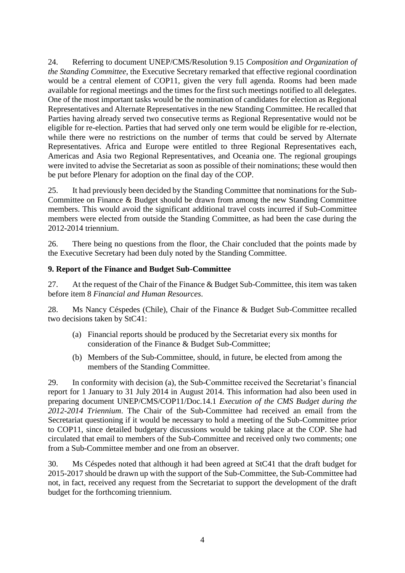24. Referring to document UNEP/CMS/Resolution 9.15 *Composition and Organization of the Standing Committee*, the Executive Secretary remarked that effective regional coordination would be a central element of COP11, given the very full agenda. Rooms had been made available for regional meetings and the times for the first such meetings notified to all delegates. One of the most important tasks would be the nomination of candidates for election as Regional Representatives and Alternate Representatives in the new Standing Committee. He recalled that Parties having already served two consecutive terms as Regional Representative would not be eligible for re-election. Parties that had served only one term would be eligible for re-election, while there were no restrictions on the number of terms that could be served by Alternate Representatives. Africa and Europe were entitled to three Regional Representatives each, Americas and Asia two Regional Representatives, and Oceania one. The regional groupings were invited to advise the Secretariat as soon as possible of their nominations; these would then be put before Plenary for adoption on the final day of the COP.

25. It had previously been decided by the Standing Committee that nominations for the Sub-Committee on Finance & Budget should be drawn from among the new Standing Committee members. This would avoid the significant additional travel costs incurred if Sub-Committee members were elected from outside the Standing Committee, as had been the case during the 2012-2014 triennium.

26. There being no questions from the floor, the Chair concluded that the points made by the Executive Secretary had been duly noted by the Standing Committee.

# **9. Report of the Finance and Budget Sub-Committee**

27. At the request of the Chair of the Finance & Budget Sub-Committee, this item was taken before item 8 *Financial and Human Resources*.

28. Ms Nancy Céspedes (Chile), Chair of the Finance & Budget Sub-Committee recalled two decisions taken by StC41:

- (a) Financial reports should be produced by the Secretariat every six months for consideration of the Finance & Budget Sub-Committee;
- (b) Members of the Sub-Committee, should, in future, be elected from among the members of the Standing Committee.

29. In conformity with decision (a), the Sub-Committee received the Secretariat's financial report for 1 January to 31 July 2014 in August 2014. This information had also been used in preparing document UNEP/CMS/COP11/Doc.14.1 *Execution of the CMS Budget during the 2012-2014 Triennium*. The Chair of the Sub-Committee had received an email from the Secretariat questioning if it would be necessary to hold a meeting of the Sub-Committee prior to COP11, since detailed budgetary discussions would be taking place at the COP. She had circulated that email to members of the Sub-Committee and received only two comments; one from a Sub-Committee member and one from an observer.

30. Ms Céspedes noted that although it had been agreed at StC41 that the draft budget for 2015-2017 should be drawn up with the support of the Sub-Committee, the Sub-Committee had not, in fact, received any request from the Secretariat to support the development of the draft budget for the forthcoming triennium.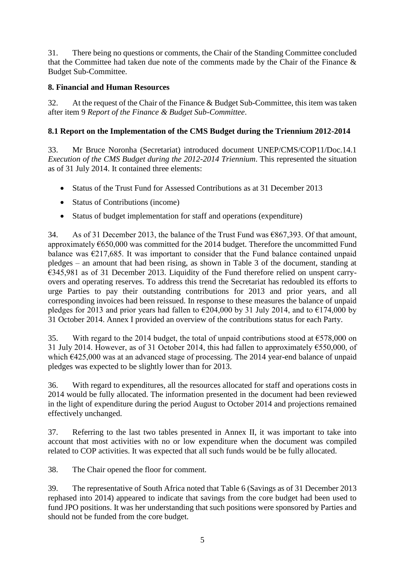31. There being no questions or comments, the Chair of the Standing Committee concluded that the Committee had taken due note of the comments made by the Chair of the Finance & Budget Sub-Committee.

# **8. Financial and Human Resources**

32. At the request of the Chair of the Finance & Budget Sub-Committee, this item was taken after item 9 *Report of the Finance & Budget Sub-Committee*.

# **8.1 Report on the Implementation of the CMS Budget during the Triennium 2012-2014**

33. Mr Bruce Noronha (Secretariat) introduced document UNEP/CMS/COP11/Doc.14.1 *Execution of the CMS Budget during the 2012-2014 Triennium*. This represented the situation as of 31 July 2014. It contained three elements:

- Status of the Trust Fund for Assessed Contributions as at 31 December 2013
- Status of Contributions (income)
- Status of budget implementation for staff and operations (expenditure)

34. As of 31 December 2013, the balance of the Trust Fund was  $\epsilon$ 867, 393. Of that amount, approximately  $650,000$  was committed for the 2014 budget. Therefore the uncommitted Fund balance was  $\epsilon$ 217,685. It was important to consider that the Fund balance contained unpaid pledges – an amount that had been rising, as shown in Table 3 of the document, standing at €345,981 as of 31 December 2013. Liquidity of the Fund therefore relied on unspent carryovers and operating reserves. To address this trend the Secretariat has redoubled its efforts to urge Parties to pay their outstanding contributions for 2013 and prior years, and all corresponding invoices had been reissued. In response to these measures the balance of unpaid pledges for 2013 and prior years had fallen to  $\epsilon$ 204,000 by 31 July 2014, and to  $\epsilon$ 174,000 by 31 October 2014. Annex I provided an overview of the contributions status for each Party.

35. With regard to the 2014 budget, the total of unpaid contributions stood at  $\epsilon$ 578,000 on 31 July 2014. However, as of 31 October 2014, this had fallen to approximately  $\epsilon$ 550,000, of which €425,000 was at an advanced stage of processing. The 2014 year-end balance of unpaid pledges was expected to be slightly lower than for 2013.

36. With regard to expenditures, all the resources allocated for staff and operations costs in 2014 would be fully allocated. The information presented in the document had been reviewed in the light of expenditure during the period August to October 2014 and projections remained effectively unchanged.

37. Referring to the last two tables presented in Annex II, it was important to take into account that most activities with no or low expenditure when the document was compiled related to COP activities. It was expected that all such funds would be be fully allocated.

38. The Chair opened the floor for comment.

39. The representative of South Africa noted that Table 6 (Savings as of 31 December 2013 rephased into 2014) appeared to indicate that savings from the core budget had been used to fund JPO positions. It was her understanding that such positions were sponsored by Parties and should not be funded from the core budget.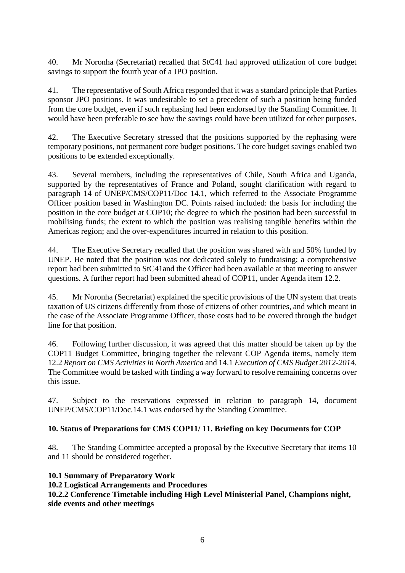40. Mr Noronha (Secretariat) recalled that StC41 had approved utilization of core budget savings to support the fourth year of a JPO position.

41. The representative of South Africa responded that it was a standard principle that Parties sponsor JPO positions. It was undesirable to set a precedent of such a position being funded from the core budget, even if such rephasing had been endorsed by the Standing Committee. It would have been preferable to see how the savings could have been utilized for other purposes.

42. The Executive Secretary stressed that the positions supported by the rephasing were temporary positions, not permanent core budget positions. The core budget savings enabled two positions to be extended exceptionally.

43. Several members, including the representatives of Chile, South Africa and Uganda, supported by the representatives of France and Poland, sought clarification with regard to paragraph 14 of UNEP/CMS/COP11/Doc 14.1, which referred to the Associate Programme Officer position based in Washington DC. Points raised included: the basis for including the position in the core budget at COP10; the degree to which the position had been successful in mobilising funds; the extent to which the position was realising tangible benefits within the Americas region; and the over-expenditures incurred in relation to this position.

44. The Executive Secretary recalled that the position was shared with and 50% funded by UNEP. He noted that the position was not dedicated solely to fundraising; a comprehensive report had been submitted to StC41and the Officer had been available at that meeting to answer questions. A further report had been submitted ahead of COP11, under Agenda item 12.2.

45. Mr Noronha (Secretariat) explained the specific provisions of the UN system that treats taxation of US citizens differently from those of citizens of other countries, and which meant in the case of the Associate Programme Officer, those costs had to be covered through the budget line for that position.

46. Following further discussion, it was agreed that this matter should be taken up by the COP11 Budget Committee, bringing together the relevant COP Agenda items, namely item 12.2 *Report on CMS Activities in North America* and 14.1 *Execution of CMS Budget 2012-2014*. The Committee would be tasked with finding a way forward to resolve remaining concerns over this issue.

47. Subject to the reservations expressed in relation to paragraph 14, document UNEP/CMS/COP11/Doc.14.1 was endorsed by the Standing Committee.

# **10. Status of Preparations for CMS COP11/ 11. Briefing on key Documents for COP**

48. The Standing Committee accepted a proposal by the Executive Secretary that items 10 and 11 should be considered together.

# **10.1 Summary of Preparatory Work**

## **10.2 Logistical Arrangements and Procedures**

**10.2.2 Conference Timetable including High Level Ministerial Panel, Champions night, side events and other meetings**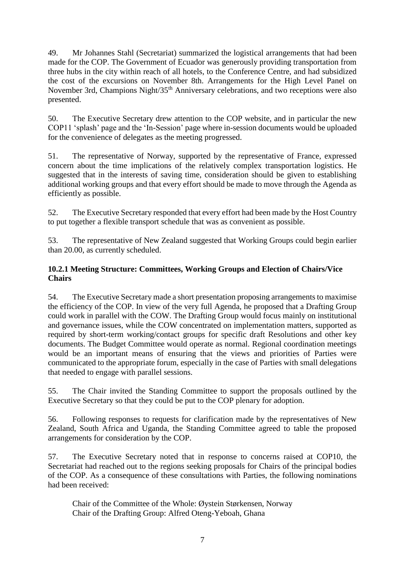49. Mr Johannes Stahl (Secretariat) summarized the logistical arrangements that had been made for the COP. The Government of Ecuador was generously providing transportation from three hubs in the city within reach of all hotels, to the Conference Centre, and had subsidized the cost of the excursions on November 8th. Arrangements for the High Level Panel on November 3rd, Champions Night/35<sup>th</sup> Anniversary celebrations, and two receptions were also presented.

50. The Executive Secretary drew attention to the COP website, and in particular the new COP11 'splash' page and the 'In-Session' page where in-session documents would be uploaded for the convenience of delegates as the meeting progressed.

51. The representative of Norway, supported by the representative of France, expressed concern about the time implications of the relatively complex transportation logistics. He suggested that in the interests of saving time, consideration should be given to establishing additional working groups and that every effort should be made to move through the Agenda as efficiently as possible.

52. The Executive Secretary responded that every effort had been made by the Host Country to put together a flexible transport schedule that was as convenient as possible.

53. The representative of New Zealand suggested that Working Groups could begin earlier than 20.00, as currently scheduled.

# **10.2.1 Meeting Structure: Committees, Working Groups and Election of Chairs/Vice Chairs**

54. The Executive Secretary made a short presentation proposing arrangements to maximise the efficiency of the COP. In view of the very full Agenda, he proposed that a Drafting Group could work in parallel with the COW. The Drafting Group would focus mainly on institutional and governance issues, while the COW concentrated on implementation matters, supported as required by short-term working/contact groups for specific draft Resolutions and other key documents. The Budget Committee would operate as normal. Regional coordination meetings would be an important means of ensuring that the views and priorities of Parties were communicated to the appropriate forum, especially in the case of Parties with small delegations that needed to engage with parallel sessions.

55. The Chair invited the Standing Committee to support the proposals outlined by the Executive Secretary so that they could be put to the COP plenary for adoption.

56. Following responses to requests for clarification made by the representatives of New Zealand, South Africa and Uganda, the Standing Committee agreed to table the proposed arrangements for consideration by the COP.

57. The Executive Secretary noted that in response to concerns raised at COP10, the Secretariat had reached out to the regions seeking proposals for Chairs of the principal bodies of the COP. As a consequence of these consultations with Parties, the following nominations had been received:

Chair of the Committee of the Whole: Øystein Størkensen, Norway Chair of the Drafting Group: Alfred Oteng-Yeboah, Ghana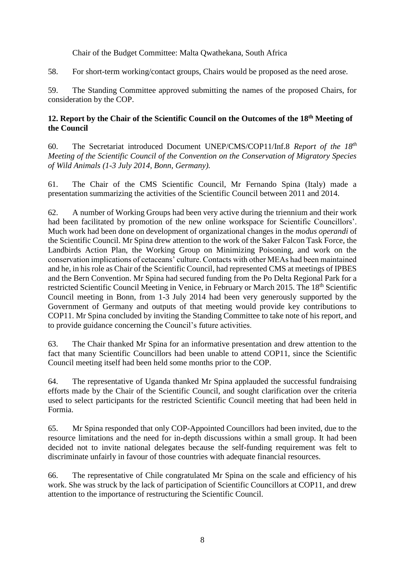Chair of the Budget Committee: Malta Qwathekana, South Africa

58. For short-term working/contact groups, Chairs would be proposed as the need arose.

59. The Standing Committee approved submitting the names of the proposed Chairs, for consideration by the COP.

# **12. Report by the Chair of the Scientific Council on the Outcomes of the 18th Meeting of the Council**

60. The Secretariat introduced Document UNEP/CMS/COP11/Inf.8 *Report of the 18th Meeting of the Scientific Council of the Convention on the Conservation of Migratory Species of Wild Animals (1-3 July 2014, Bonn, Germany).*

61. The Chair of the CMS Scientific Council, Mr Fernando Spina (Italy) made a presentation summarizing the activities of the Scientific Council between 2011 and 2014.

62. A number of Working Groups had been very active during the triennium and their work had been facilitated by promotion of the new online workspace for Scientific Councillors'. Much work had been done on development of organizational changes in the *modus operandi* of the Scientific Council. Mr Spina drew attention to the work of the Saker Falcon Task Force, the Landbirds Action Plan, the Working Group on Minimizing Poisoning, and work on the conservation implications of cetaceans' culture. Contacts with other MEAs had been maintained and he, in his role as Chair of the Scientific Council, had represented CMS at meetings of IPBES and the Bern Convention. Mr Spina had secured funding from the Po Delta Regional Park for a restricted Scientific Council Meeting in Venice, in February or March 2015. The 18th Scientific Council meeting in Bonn, from 1-3 July 2014 had been very generously supported by the Government of Germany and outputs of that meeting would provide key contributions to COP11. Mr Spina concluded by inviting the Standing Committee to take note of his report, and to provide guidance concerning the Council's future activities.

63. The Chair thanked Mr Spina for an informative presentation and drew attention to the fact that many Scientific Councillors had been unable to attend COP11, since the Scientific Council meeting itself had been held some months prior to the COP.

64. The representative of Uganda thanked Mr Spina applauded the successful fundraising efforts made by the Chair of the Scientific Council, and sought clarification over the criteria used to select participants for the restricted Scientific Council meeting that had been held in Formia.

65. Mr Spina responded that only COP-Appointed Councillors had been invited, due to the resource limitations and the need for in-depth discussions within a small group. It had been decided not to invite national delegates because the self-funding requirement was felt to discriminate unfairly in favour of those countries with adequate financial resources.

66. The representative of Chile congratulated Mr Spina on the scale and efficiency of his work. She was struck by the lack of participation of Scientific Councillors at COP11, and drew attention to the importance of restructuring the Scientific Council.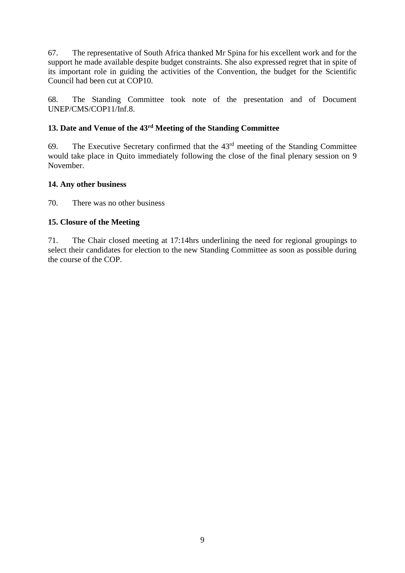67. The representative of South Africa thanked Mr Spina for his excellent work and for the support he made available despite budget constraints. She also expressed regret that in spite of its important role in guiding the activities of the Convention, the budget for the Scientific Council had been cut at COP10.

68. The Standing Committee took note of the presentation and of Document UNEP/CMS/COP11/Inf.8.

# **13. Date and Venue of the 43rd Meeting of the Standing Committee**

69. The Executive Secretary confirmed that the 43rd meeting of the Standing Committee would take place in Quito immediately following the close of the final plenary session on 9 November.

# **14. Any other business**

70. There was no other business

# **15. Closure of the Meeting**

71. The Chair closed meeting at 17:14hrs underlining the need for regional groupings to select their candidates for election to the new Standing Committee as soon as possible during the course of the COP.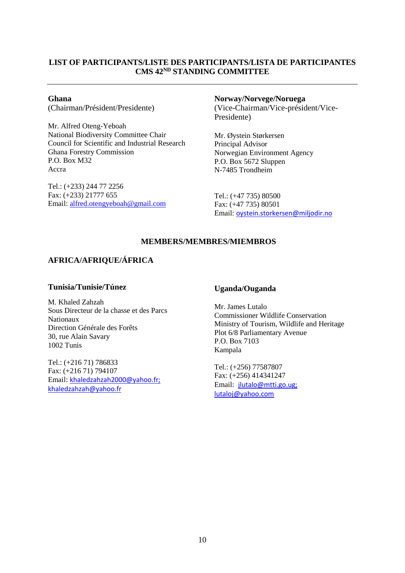# **LIST OF PARTICIPANTS/LISTE DES PARTICIPANTS/LISTA DE PARTICIPANTES CMS 42ND STANDING COMMITTEE**

**Ghana** (Chairman/Président/Presidente)

Mr. Alfred Oteng-Yeboah National Biodiversity Committee Chair Council for Scientific and Industrial Research Ghana Forestry Commission P.O. Box M32 Accra

Tel.: (+233) 244 77 2256 Fax: (+233) 21777 655 Email: [alfred.otengyeboah@gmail.com](mailto:alfred.otengyeboah@gmail.com)

#### **Norway/Norvege/Noruega**

(Vice-Chairman/Vice-président/Vice-Presidente)

Mr. Øystein Størkersen Principal Advisor Norwegian Environment Agency P.O. Box 5672 Sluppen N-7485 Trondheim

Tel.: (+47 735) 80500 Fax: (+47 735) 80501 Email: oystein.storkersen@miljodir.no

## **MEMBERS/MEMBRES/MIEMBROS**

# **AFRICA/AFRIQUE/ÁFRICA**

## **Tunisia/Tunisie/Túnez**

M. Khaled Zahzah Sous Directeur de la chasse et des Parcs Nationaux Direction Générale des Forêts 30, rue Alain Savary 1002 Tunis

Tel.: (+216 71) 786833 Fax: (+216 71) 794107 Email: khaledzahzah2000@yahoo.fr; [khaledzahzah@yahoo.fr](mailto:khaledzahzah@yahoo.fr)

## **Uganda/Ouganda**

Mr. James Lutalo Commissioner Wildlife Conservation Ministry of Tourism, Wildlife and Heritage Plot 6/8 Parliamentary Avenue P.O. Box 7103 Kampala

Tel.: (+256) 77587807 Fax: (+256) 414341247 Email: jlutalo@mtti.go.ug; lutaloj@yahoo.com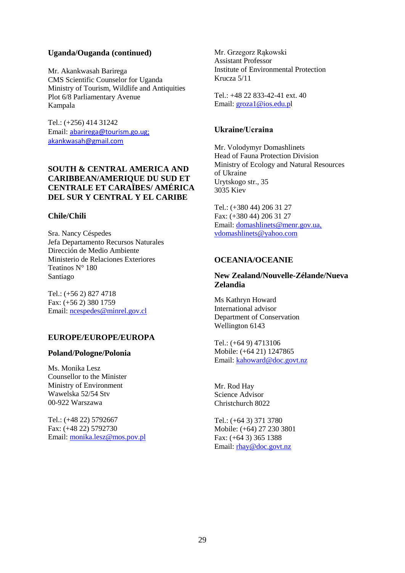## **Uganda/Ouganda (continued)**

Mr. Akankwasah Barirega CMS Scientific Counselor for Uganda Ministry of Tourism, Wildlife and Antiquities Plot 6/8 Parliamentary Avenue Kampala

Tel.: (+256) 414 31242 Email: [abarirega@tourism.go.ug;](mailto:abarirega@tourism.go.ug) akankwasah@gmail.com

## **SOUTH & CENTRAL AMERICA AND CARIBBEAN/AMERIQUE DU SUD ET CENTRALE ET CARAÏBES/ AMÉRICA DEL SUR Y CENTRAL Y EL CARIBE**

## **Chile/Chili**

Sra. Nancy Céspedes Jefa Departamento Recursos Naturales Dirección de Medio Ambiente Ministerio de Relaciones Exteriores Teatinos N° 180 Santiago

Tel.: (+56 2) 827 4718 Fax: (+56 2) 380 1759 Email: ncespedes@minrel.gov.cl

## **EUROPE/EUROPE/EUROPA**

#### **Poland/Pologne/Polonia**

Ms. Monika Lesz Counsellor to the Minister Ministry of Environment Wawelska 52/54 Stv 00-922 Warszawa

Tel.: (+48 22) 5792667 Fax: (+48 22) 5792730 Email: [monika.lesz@mos.pov.pl](mailto:monika.lesz@mos.pov.pl) Mr. Grzegorz Rąkowski Assistant Professor Institute of Environmental Protection Krucza 5/11

Tel.: +48 22 833-42-41 ext. 40 Email: groza1@ios.edu.pl

## **Ukraine/Ucraina**

Mr. Volodymyr Domashlinets Head of Fauna Protection Division Ministry of Ecology and Natural Resources of Ukraine Urytskogo str., 35 3035 Kiev

Tel.: (+380 44) 206 31 27 Fax: (+380 44) 206 31 27 Email: domashlinets@menr.gov.ua, vdomashlinets@yahoo.com

## **OCEANIA/OCEANIE**

# **New Zealand/Nouvelle-Zélande/Nueva Zelandia**

Ms Kathryn Howard International advisor Department of Conservation Wellington 6143

Tel.: (+64 9) 4713106 Mobile: (+64 21) 1247865 Email: [kahoward@doc.govt.nz](mailto:kahoward@doc.govt.nz)

Mr. Rod Hay Science Advisor Christchurch 8022

Tel.: (+64 3) 371 3780 Mobile: (+64) 27 230 3801 Fax: (+64 3) 365 1388 Email: [rhay@doc.govt.nz](mailto:rhay@doc.govt.nz)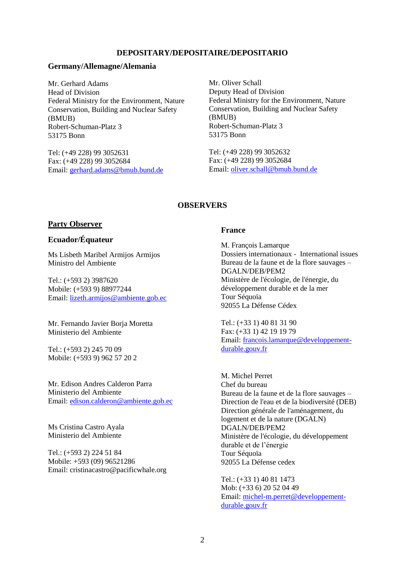#### **DEPOSITARY/DEPOSITAIRE/DEPOSITARIO**

#### **Germany/Allemagne/Alemania**

Mr. Gerhard Adams Head of Division Federal Ministry for the Environment, Nature Conservation, Building and Nuclear Safety (BMUB) Robert-Schuman-Platz 3 53175 Bonn

Tel: (+49 228) 99 3052631 Fax: (+49 228) 99 3052684 Email: gerhard.adams@bmub.bund.de

Mr. Oliver Schall Deputy Head of Division Federal Ministry for the Environment, Nature Conservation, Building and Nuclear Safety (BMUB) Robert-Schuman-Platz 3 53175 Bonn

Tel: (+49 228) 99 3052632 Fax: (+49 228) 99 3052684 Email: oliver.schall@bmub.bund.de

## **OBSERVERS**

#### **Party Observer**

## **Ecuador/Équateur**

Ms Lisbeth Maribel Armijos Armijos Ministro del Ambiente

Tel.: (+593 2) 3987620 Mobile: (+593 9) 88977244 Email: [lizeth.armijos@ambiente.gob.ec](mailto:lizeth.armijos@ambiente.gob.ec)

Mr. Fernando Javier Borja Moretta Ministerio del Ambiente

Tel.: (+593 2) 245 70 09 Mobile: (+593 9) 962 57 20 2

Mr. Edison Andres Calderon Parra Ministerio del Ambiente Email: [edison.calderon@ambiente.gob.ec](mailto:edison.calderon@ambiente.gob.ec)

Ms Cristina Castro Ayala Ministerio del Ambiente

Tel.: (+593 2) 224 51 84 Mobile: +593 (09) 96521286 Email: cristinacastro@pacificwhale.org

#### **France**

M. François Lamarque Dossiers internationaux - International issues Bureau de la faune et de la flore sauvages – DGALN/DEB/PEM2 Ministère de l'écologie, de l'énergie, du développement durable et de la mer Tour Séquoïa 92055 La Défense Cédex

Tel.: (+33 1) 40 81 31 90 Fax: (+33 1) 42 19 19 79 Email: [francois.lamarque@developpement](mailto:francois.lamarque@developpement-durable.gouv.fr)[durable.gouv.fr](mailto:francois.lamarque@developpement-durable.gouv.fr)

M. Michel Perret Chef du bureau Bureau de la faune et de la flore sauvages – Direction de l'eau et de la biodiversité (DEB) Direction générale de l'aménagement, du logement et de la nature (DGALN) DGALN/DEB/PEM2 Ministère de l'écologie, du développement durable et de l'énergie Tour Séquoïa 92055 La Défense cedex

Tel.: (+33 1) 40 81 1473 Mob: (+33 6) 20 52 04 49 Email: [michel-m.perret@developpement](mailto:michel-m.perret@developpement-durable.gouv.fr)[durable.gouv.fr](mailto:michel-m.perret@developpement-durable.gouv.fr)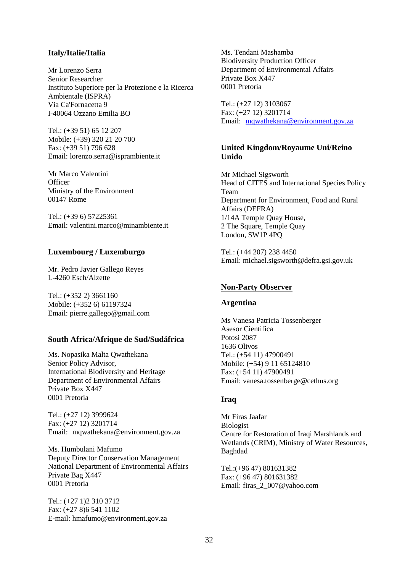### **Italy/Italie/Italia**

Mr Lorenzo Serra Senior Researcher Instituto Superiore per la Protezione e la Ricerca Ambientale (ISPRA) Via Ca'Fornacetta 9 I-40064 Ozzano Emilia BO

Tel.: (+39 51) 65 12 207 Mobile: (+39) 320 21 20 700 Fax: (+39 51) 796 628 Email: [lorenzo.serra@isprambiente.it](mailto:lorenzo.serra@isprambiente.it)

Mr Marco Valentini **Officer** Ministry of the Environment 00147 Rome

Tel.: (+39 6) 57225361 Email: [valentini.marco@minambiente.it](mailto:valentini.marco@minambiente.it)

## **Luxembourg / Luxemburgo**

Mr. Pedro Javier Gallego Reyes L-4260 Esch/Alzette

Tel.: (+352 2) 3661160 Mobile: (+352 6) 61197324 Email: pierre.gallego@gmail.com

#### **South Africa/Afrique de Sud/Sudáfrica**

Ms. Nopasika Malta Qwathekana Senior Policy Advisor, International Biodiversity and Heritage Department of Environmental Affairs Private Box X447 0001 Pretoria

Tel.: (+27 12) 3999624 Fax: (+27 12) 3201714 Email: mqwathekana@environment.gov.za

Ms. Humbulani Mafumo Deputy Director Conservation Management National Department of Environmental Affairs Private Bag X447 0001 Pretoria

Tel.: (+27 1)2 310 3712 Fax: (+27 8)6 541 1102 E-mail: hmafumo@environment.gov.za Ms. Tendani Mashamba Biodiversity Production Officer Department of Environmental Affairs Private Box X447 0001 Pretoria

Tel.: (+27 12) 3103067 Fax: (+27 12) 3201714 Email: [mqwathekana@environment.gov.za](mailto:mqwathekana@environment.gov.za)

## **United Kingdom/Royaume Uni/Reino Unido**

Mr Michael Sigsworth Head of CITES and International Species Policy Team Department for Environment, Food and Rural Affairs (DEFRA) 1/14A Temple Quay House, 2 The Square, Temple Quay London, SW1P 4PQ

Tel.: (+44 207) 238 4450 Email: [michael.sigsworth@defra.gsi.gov.uk](mailto:michael.sigsworth@defra.gsi.gov.uk)

#### **Non-Party Observer**

#### **Argentina**

Ms Vanesa Patricia Tossenberger Asesor Cientifica Potosi 2087 1636 Olivos Tel.: (+54 11) 47900491 Mobile: (+54) 9 11 65124810 Fax: (+54 11) 47900491 Email: [vanesa.tossenberge@cethus.org](mailto:vanesa.tossenberge@cethus.org)

## **Iraq**

Mr Firas Jaafar Biologist Centre for Restoration of Iraqi Marshlands and Wetlands (CRIM), Ministry of Water Resources, Baghdad

Tel.:(+96 47) 801631382 Fax: (+96 47) 801631382 Email: [firas\\_2\\_007@yahoo.com](mailto:firas_2_007@yahoo.com)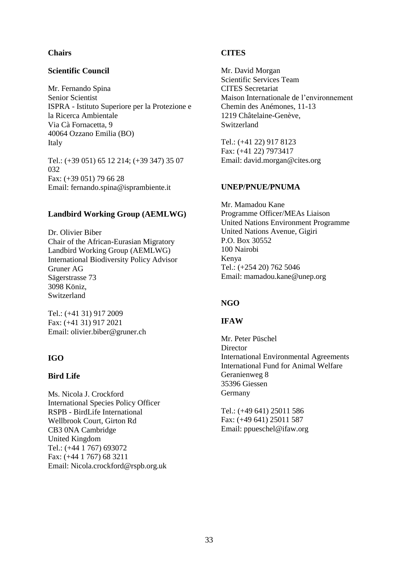## **Chairs**

## **Scientific Council**

Mr. Fernando Spina Senior Scientist ISPRA - Istituto Superiore per la Protezione e la Ricerca Ambientale Via Cà Fornacetta, 9 40064 Ozzano Emilia (BO) Italy

Tel.: (+39 051) 65 12 214; (+39 347) 35 07 032 Fax: (+39 051) 79 66 28 Email: fernando.spina@isprambiente.it

## **Landbird Working Group (AEMLWG)**

Dr. Olivier Biber Chair of the African-Eurasian Migratory Landbird Working Group (AEMLWG) International Biodiversity Policy Advisor Gruner AG Sägerstrasse 73 3098 Köniz, Switzerland

Tel.: (+41 31) 917 2009 Fax: (+41 31) 917 2021 Email: olivier.biber@gruner.ch

## **IGO**

## **Bird Life**

Ms. Nicola J. Crockford International Species Policy Officer RSPB - BirdLife International Wellbrook Court, Girton Rd CB3 0NA Cambridge United Kingdom Tel.: (+44 1 767) 693072 Fax: (+44 1 767) 68 3211 Email: Nicola.crockford@rspb.org.uk

## **CITES**

Mr. David Morgan Scientific Services Team CITES Secretariat Maison Internationale de l'environnement Chemin des Anémones, 11-13 1219 Châtelaine-Genève, **Switzerland** 

Tel.: (+41 22) 917 8123 Fax: (+41 22) 7973417 Email: david.morgan@cites.org

## **UNEP/PNUE/PNUMA**

Mr. Mamadou Kane Programme Officer/MEAs Liaison United Nations Environment Programme United Nations Avenue, Gigiri P.O. Box 30552 100 Nairobi Kenya Tel.: (+254 20) 762 5046 Email[: mamadou.kane@unep.org](mailto:mamadou.kane@unep.org)

## **NGO**

## **IFAW**

Mr. Peter Püschel **Director** International Environmental Agreements International Fund for Animal Welfare Geranienweg 8 35396 Giessen Germany

Tel.: (+49 641) 25011 586 Fax: (+49 641) 25011 587 Email: ppueschel@ifaw.org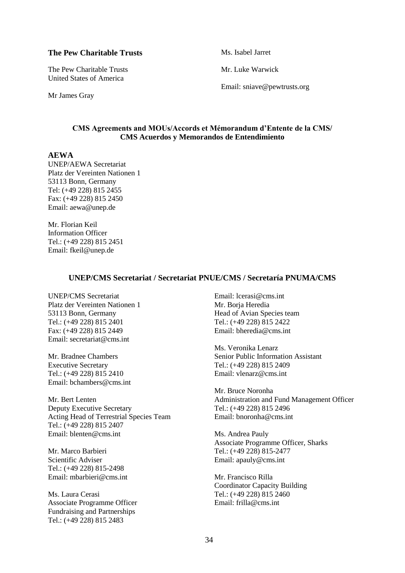#### **The Pew Charitable Trusts**

The Pew Charitable Trusts United States of America

Mr James Gray

Ms. Isabel Jarret

Mr. Luke Warwick

Email: [sniave@pewtrusts.org](mailto:sniave@pewtrusts.org)

#### **CMS Agreements and MOUs/Accords et Mémorandum d'Entente de la CMS/ CMS Acuerdos y Memorandos de Entendimiento**

#### **AEWA**

UNEP/AEWA Secretariat Platz der Vereinten Nationen 1 53113 Bonn, Germany Tel: (+49 228) 815 2455 Fax: (+49 228) 815 2450 Email: [aewa@unep.de](mailto:aewa@unep.de)

Mr. Florian Keil Information Officer Tel.: (+49 228) 815 2451 Email: [fkeil@unep.de](mailto:fkeil@unep.de)

#### **UNEP/CMS Secretariat / Secretariat PNUE/CMS / Secretaría PNUMA/CMS**

UNEP/CMS Secretariat Platz der Vereinten Nationen 1 53113 Bonn, Germany Tel.: (+49 228) 815 2401 Fax: (+49 228) 815 2449 Email: secretariat@cms.int

Mr. Bradnee Chambers Executive Secretary Tel.: (+49 228) 815 2410 Email: bchambers@cms.int

Mr. Bert Lenten Deputy Executive Secretary Acting Head of Terrestrial Species Team Tel.: (+49 228) 815 2407 Email: blenten@cms.int

Mr. Marco Barbieri Scientific Adviser Tel.: (+49 228) 815-2498 Email: [mbarbieri@cms.int](mailto:mbarbieri@cms.int)

Ms. Laura Cerasi Associate Programme Officer Fundraising and Partnerships Tel.: (+49 228) 815 2483

Email: lcerasi@cms.int Mr. Borja Heredia Head of Avian Species team Tel.: (+49 228) 815 2422 Email: bheredia@cms.int

Ms. Veronika Lenarz Senior Public Information Assistant Tel.: (+49 228) 815 2409 Email: vlenarz@cms.int

Mr. Bruce Noronha Administration and Fund Management Officer Tel.: (+49 228) 815 2496 Email: bnoronha@cms.int

Ms. Andrea Pauly Associate Programme Officer, Sharks Tel.: (+49 228) 815-2477 Email: apauly@cms.int

Mr. Francisco Rilla Coordinator Capacity Building Tel.: (+49 228) 815 2460 Email: frilla@cms.int